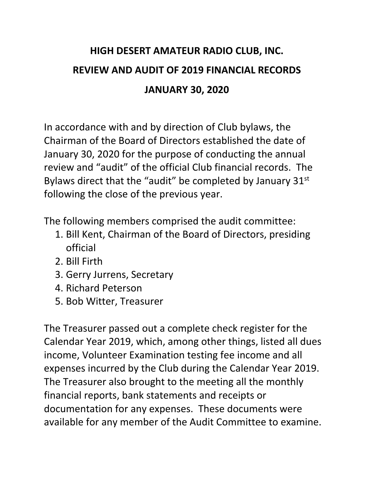## **HIGH DESERT AMATEUR RADIO CLUB, INC. REVIEW AND AUDIT OF 2019 FINANCIAL RECORDS JANUARY 30, 2020**

In accordance with and by direction of Club bylaws, the Chairman of the Board of Directors established the date of January 30, 2020 for the purpose of conducting the annual review and "audit" of the official Club financial records. The Bylaws direct that the "audit" be completed by January 31<sup>st</sup> following the close of the previous year.

The following members comprised the audit committee:

- 1. Bill Kent, Chairman of the Board of Directors, presiding official
- 2. Bill Firth
- 3. Gerry Jurrens, Secretary
- 4. Richard Peterson
- 5. Bob Witter, Treasurer

The Treasurer passed out a complete check register for the Calendar Year 2019, which, among other things, listed all dues income, Volunteer Examination testing fee income and all expenses incurred by the Club during the Calendar Year 2019. The Treasurer also brought to the meeting all the monthly financial reports, bank statements and receipts or documentation for any expenses. These documents were available for any member of the Audit Committee to examine.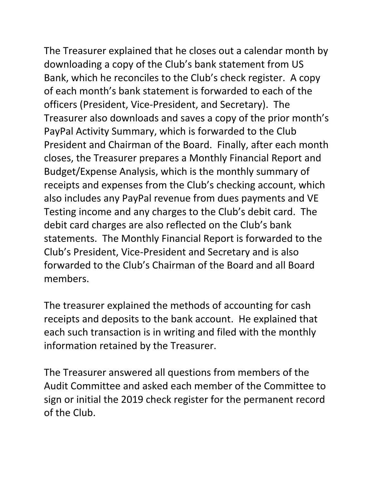The Treasurer explained that he closes out a calendar month by downloading a copy of the Club's bank statement from US Bank, which he reconciles to the Club's check register. A copy of each month's bank statement is forwarded to each of the officers (President, Vice-President, and Secretary). The Treasurer also downloads and saves a copy of the prior month's PayPal Activity Summary, which is forwarded to the Club President and Chairman of the Board. Finally, after each month closes, the Treasurer prepares a Monthly Financial Report and Budget/Expense Analysis, which is the monthly summary of receipts and expenses from the Club's checking account, which also includes any PayPal revenue from dues payments and VE Testing income and any charges to the Club's debit card. The debit card charges are also reflected on the Club's bank statements. The Monthly Financial Report is forwarded to the Club's President, Vice-President and Secretary and is also forwarded to the Club's Chairman of the Board and all Board members.

The treasurer explained the methods of accounting for cash receipts and deposits to the bank account. He explained that each such transaction is in writing and filed with the monthly information retained by the Treasurer.

The Treasurer answered all questions from members of the Audit Committee and asked each member of the Committee to sign or initial the 2019 check register for the permanent record of the Club.